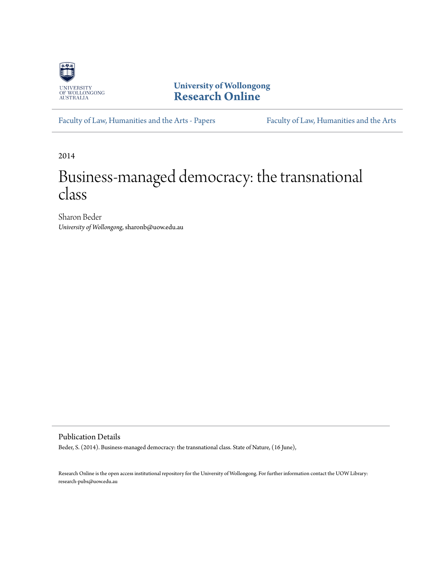

**University of Wollongong [Research Online](http://ro.uow.edu.au)**

[Faculty of Law, Humanities and the Arts - Papers](http://ro.uow.edu.au/lhapapers) [Faculty of Law, Humanities and the Arts](http://ro.uow.edu.au/lha)

2014

# Business-managed democracy: the transnational class

Sharon Beder *University of Wollongong*, sharonb@uow.edu.au

Publication Details

Beder, S. (2014). Business-managed democracy: the transnational class. State of Nature, (16 June),

Research Online is the open access institutional repository for the University of Wollongong. For further information contact the UOW Library: research-pubs@uow.edu.au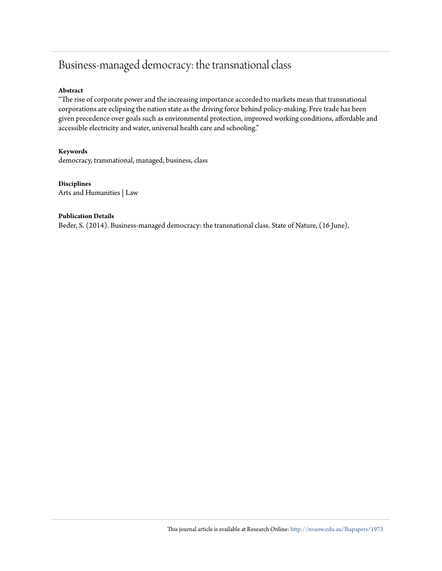# Business-managed democracy: the transnational class

#### **Abstract**

"The rise of corporate power and the increasing importance accorded to markets mean that transnational corporations are eclipsing the nation state as the driving force behind policy-making. Free trade has been given precedence over goals such as environmental protection, improved working conditions, affordable and accessible electricity and water, universal health care and schooling."

#### **Keywords**

democracy, transnational, managed, business, class

#### **Disciplines**

Arts and Humanities | Law

#### **Publication Details**

Beder, S. (2014). Business-managed democracy: the transnational class. State of Nature, (16 June),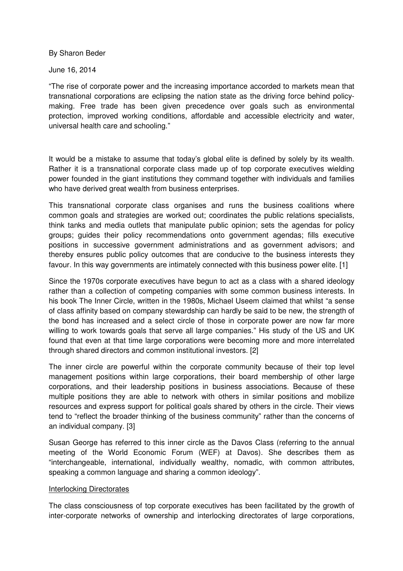By Sharon Beder

June 16, 2014

"The rise of corporate power and the increasing importance accorded to markets mean that transnational corporations are eclipsing the nation state as the driving force behind policymaking. Free trade has been given precedence over goals such as environmental protection, improved working conditions, affordable and accessible electricity and water, universal health care and schooling."

It would be a mistake to assume that today's global elite is defined by solely by its wealth. Rather it is a transnational corporate class made up of top corporate executives wielding power founded in the giant institutions they command together with individuals and families who have derived great wealth from business enterprises.

This transnational corporate class organises and runs the business coalitions where common goals and strategies are worked out; coordinates the public relations specialists, think tanks and media outlets that manipulate public opinion; sets the agendas for policy groups; guides their policy recommendations onto government agendas; fills executive positions in successive government administrations and as government advisors; and thereby ensures public policy outcomes that are conducive to the business interests they favour. In this way governments are intimately connected with this business power elite. [1]

Since the 1970s corporate executives have begun to act as a class with a shared ideology rather than a collection of competing companies with some common business interests. In his book The Inner Circle, written in the 1980s, Michael Useem claimed that whilst "a sense of class affinity based on company stewardship can hardly be said to be new, the strength of the bond has increased and a select circle of those in corporate power are now far more willing to work towards goals that serve all large companies." His study of the US and UK found that even at that time large corporations were becoming more and more interrelated through shared directors and common institutional investors. [2]

The inner circle are powerful within the corporate community because of their top level management positions within large corporations, their board membership of other large corporations, and their leadership positions in business associations. Because of these multiple positions they are able to network with others in similar positions and mobilize resources and express support for political goals shared by others in the circle. Their views tend to "reflect the broader thinking of the business community" rather than the concerns of an individual company. [3]

Susan George has referred to this inner circle as the Davos Class (referring to the annual meeting of the World Economic Forum (WEF) at Davos). She describes them as "interchangeable, international, individually wealthy, nomadic, with common attributes, speaking a common language and sharing a common ideology".

#### Interlocking Directorates

The class consciousness of top corporate executives has been facilitated by the growth of inter-corporate networks of ownership and interlocking directorates of large corporations,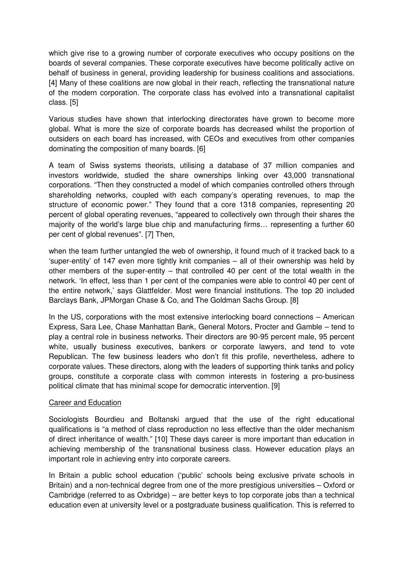which give rise to a growing number of corporate executives who occupy positions on the boards of several companies. These corporate executives have become politically active on behalf of business in general, providing leadership for business coalitions and associations. [4] Many of these coalitions are now global in their reach, reflecting the transnational nature of the modern corporation. The corporate class has evolved into a transnational capitalist class. [5]

Various studies have shown that interlocking directorates have grown to become more global. What is more the size of corporate boards has decreased whilst the proportion of outsiders on each board has increased, with CEOs and executives from other companies dominating the composition of many boards. [6]

A team of Swiss systems theorists, utilising a database of 37 million companies and investors worldwide, studied the share ownerships linking over 43,000 transnational corporations. "Then they constructed a model of which companies controlled others through shareholding networks, coupled with each company's operating revenues, to map the structure of economic power." They found that a core 1318 companies, representing 20 percent of global operating revenues, "appeared to collectively own through their shares the majority of the world's large blue chip and manufacturing firms… representing a further 60 per cent of global revenues". [7] Then,

when the team further untangled the web of ownership, it found much of it tracked back to a 'super-entity' of 147 even more tightly knit companies – all of their ownership was held by other members of the super-entity – that controlled 40 per cent of the total wealth in the network. 'In effect, less than 1 per cent of the companies were able to control 40 per cent of the entire network,' says Glattfelder. Most were financial institutions. The top 20 included Barclays Bank, JPMorgan Chase & Co, and The Goldman Sachs Group. [8]

In the US, corporations with the most extensive interlocking board connections – American Express, Sara Lee, Chase Manhattan Bank, General Motors, Procter and Gamble – tend to play a central role in business networks. Their directors are 90-95 percent male, 95 percent white, usually business executives, bankers or corporate lawyers, and tend to vote Republican. The few business leaders who don't fit this profile, nevertheless, adhere to corporate values. These directors, along with the leaders of supporting think tanks and policy groups, constitute a corporate class with common interests in fostering a pro-business political climate that has minimal scope for democratic intervention. [9]

# Career and Education

Sociologists Bourdieu and Boltanski argued that the use of the right educational qualifications is "a method of class reproduction no less effective than the older mechanism of direct inheritance of wealth." [10] These days career is more important than education in achieving membership of the transnational business class. However education plays an important role in achieving entry into corporate careers.

In Britain a public school education ('public' schools being exclusive private schools in Britain) and a non-technical degree from one of the more prestigious universities – Oxford or Cambridge (referred to as Oxbridge) – are better keys to top corporate jobs than a technical education even at university level or a postgraduate business qualification. This is referred to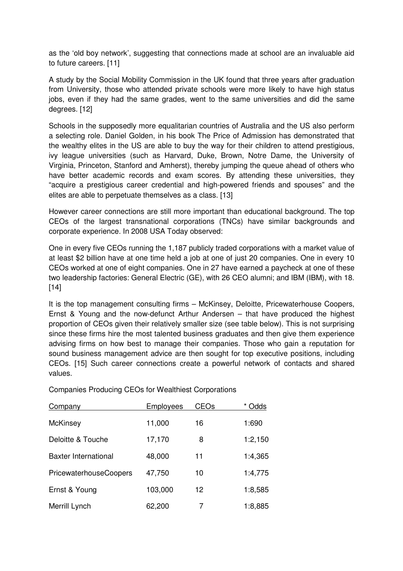as the 'old boy network', suggesting that connections made at school are an invaluable aid to future careers. [11]

A study by the Social Mobility Commission in the UK found that three years after graduation from University, those who attended private schools were more likely to have high status jobs, even if they had the same grades, went to the same universities and did the same degrees. [12]

Schools in the supposedly more equalitarian countries of Australia and the US also perform a selecting role. Daniel Golden, in his book The Price of Admission has demonstrated that the wealthy elites in the US are able to buy the way for their children to attend prestigious, ivy league universities (such as Harvard, Duke, Brown, Notre Dame, the University of Virginia, Princeton, Stanford and Amherst), thereby jumping the queue ahead of others who have better academic records and exam scores. By attending these universities, they "acquire a prestigious career credential and high-powered friends and spouses" and the elites are able to perpetuate themselves as a class. [13]

However career connections are still more important than educational background. The top CEOs of the largest transnational corporations (TNCs) have similar backgrounds and corporate experience. In 2008 USA Today observed:

One in every five CEOs running the 1,187 publicly traded corporations with a market value of at least \$2 billion have at one time held a job at one of just 20 companies. One in every 10 CEOs worked at one of eight companies. One in 27 have earned a paycheck at one of these two leadership factories: General Electric (GE), with 26 CEO alumni; and IBM (IBM), with 18. [14]

It is the top management consulting firms – McKinsey, Deloitte, Pricewaterhouse Coopers, Ernst & Young and the now-defunct Arthur Andersen – that have produced the highest proportion of CEOs given their relatively smaller size (see table below). This is not surprising since these firms hire the most talented business graduates and then give them experience advising firms on how best to manage their companies. Those who gain a reputation for sound business management advice are then sought for top executive positions, including CEOs. [15] Such career connections create a powerful network of contacts and shared values.

| Company                       | Employees | CEOs | Odds    |
|-------------------------------|-----------|------|---------|
| <b>McKinsey</b>               | 11,000    | 16   | 1:690   |
| Deloitte & Touche             | 17,170    | 8    | 1:2,150 |
| Baxter International          | 48,000    | 11   | 1:4,365 |
| <b>PricewaterhouseCoopers</b> | 47,750    | 10   | 1:4,775 |
| Ernst & Young                 | 103,000   | 12   | 1:8,585 |
| Merrill Lynch                 | 62,200    |      | 1:8,885 |

Companies Producing CEOs for Wealthiest Corporations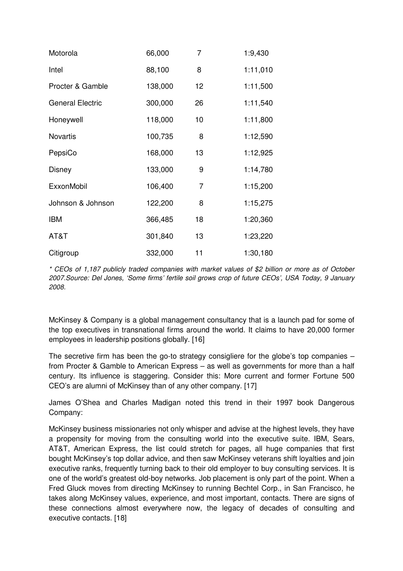| Motorola                | 66,000  | 7  | 1:9,430  |
|-------------------------|---------|----|----------|
| Intel                   | 88,100  | 8  | 1:11,010 |
| Procter & Gamble        | 138,000 | 12 | 1:11,500 |
| <b>General Electric</b> | 300,000 | 26 | 1:11,540 |
| Honeywell               | 118,000 | 10 | 1:11,800 |
| <b>Novartis</b>         | 100,735 | 8  | 1:12,590 |
| PepsiCo                 | 168,000 | 13 | 1:12,925 |
| Disney                  | 133,000 | 9  | 1:14,780 |
| ExxonMobil              | 106,400 | 7  | 1:15,200 |
| Johnson & Johnson       | 122,200 | 8  | 1:15,275 |
| <b>IBM</b>              | 366,485 | 18 | 1:20,360 |
| AT&T                    | 301,840 | 13 | 1:23,220 |
| Citigroup               | 332,000 | 11 | 1:30,180 |

\* CEOs of 1,187 publicly traded companies with market values of \$2 billion or more as of October 2007.Source: Del Jones, 'Some firms' fertile soil grows crop of future CEOs', USA Today, 9 January 2008.

McKinsey & Company is a global management consultancy that is a launch pad for some of the top executives in transnational firms around the world. It claims to have 20,000 former employees in leadership positions globally. [16]

The secretive firm has been the go-to strategy consigliere for the globe's top companies – from Procter & Gamble to American Express – as well as governments for more than a half century. Its influence is staggering. Consider this: More current and former Fortune 500 CEO's are alumni of McKinsey than of any other company. [17]

James O'Shea and Charles Madigan noted this trend in their 1997 book Dangerous Company:

McKinsey business missionaries not only whisper and advise at the highest levels, they have a propensity for moving from the consulting world into the executive suite. IBM, Sears, AT&T, American Express, the list could stretch for pages, all huge companies that first bought McKinsey's top dollar advice, and then saw McKinsey veterans shift loyalties and join executive ranks, frequently turning back to their old employer to buy consulting services. It is one of the world's greatest old-boy networks. Job placement is only part of the point. When a Fred Gluck moves from directing McKinsey to running Bechtel Corp., in San Francisco, he takes along McKinsey values, experience, and most important, contacts. There are signs of these connections almost everywhere now, the legacy of decades of consulting and executive contacts. [18]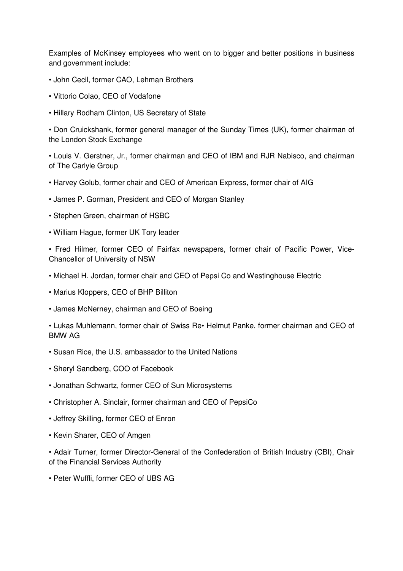Examples of McKinsey employees who went on to bigger and better positions in business and government include:

- John Cecil, former CAO, Lehman Brothers
- Vittorio Colao, CEO of Vodafone
- Hillary Rodham Clinton, US Secretary of State

• Don Cruickshank, former general manager of the Sunday Times (UK), former chairman of the London Stock Exchange

• Louis V. Gerstner, Jr., former chairman and CEO of IBM and RJR Nabisco, and chairman of The Carlyle Group

- Harvey Golub, former chair and CEO of American Express, former chair of AIG
- James P. Gorman, President and CEO of Morgan Stanley
- Stephen Green, chairman of HSBC
- William Hague, former UK Tory leader

• Fred Hilmer, former CEO of Fairfax newspapers, former chair of Pacific Power, Vice-Chancellor of University of NSW

- Michael H. Jordan, former chair and CEO of Pepsi Co and Westinghouse Electric
- Marius Kloppers, CEO of BHP Billiton
- James McNerney, chairman and CEO of Boeing

• Lukas Muhlemann, former chair of Swiss Re• Helmut Panke, former chairman and CEO of BMW AG

- Susan Rice, the U.S. ambassador to the United Nations
- Sheryl Sandberg, COO of Facebook
- Jonathan Schwartz, former CEO of Sun Microsystems
- Christopher A. Sinclair, former chairman and CEO of PepsiCo
- Jeffrey Skilling, former CEO of Enron
- Kevin Sharer, CEO of Amgen

• Adair Turner, former Director-General of the Confederation of British Industry (CBI), Chair of the Financial Services Authority

• Peter Wuffli, former CEO of UBS AG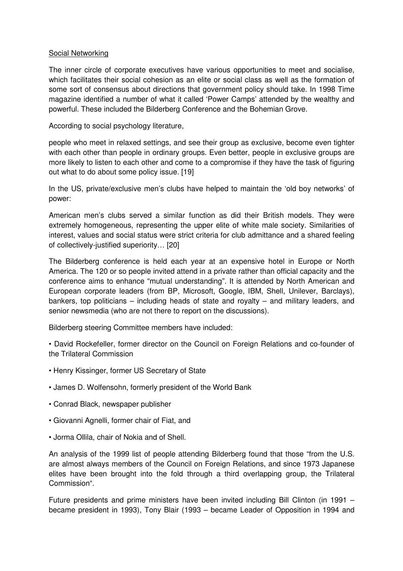# Social Networking

The inner circle of corporate executives have various opportunities to meet and socialise, which facilitates their social cohesion as an elite or social class as well as the formation of some sort of consensus about directions that government policy should take. In 1998 Time magazine identified a number of what it called 'Power Camps' attended by the wealthy and powerful. These included the Bilderberg Conference and the Bohemian Grove.

According to social psychology literature,

people who meet in relaxed settings, and see their group as exclusive, become even tighter with each other than people in ordinary groups. Even better, people in exclusive groups are more likely to listen to each other and come to a compromise if they have the task of figuring out what to do about some policy issue. [19]

In the US, private/exclusive men's clubs have helped to maintain the 'old boy networks' of power:

American men's clubs served a similar function as did their British models. They were extremely homogeneous, representing the upper elite of white male society. Similarities of interest, values and social status were strict criteria for club admittance and a shared feeling of collectively-justified superiority… [20]

The Bilderberg conference is held each year at an expensive hotel in Europe or North America. The 120 or so people invited attend in a private rather than official capacity and the conference aims to enhance "mutual understanding". It is attended by North American and European corporate leaders (from BP, Microsoft, Google, IBM, Shell, Unilever, Barclays), bankers, top politicians – including heads of state and royalty – and military leaders, and senior newsmedia (who are not there to report on the discussions).

Bilderberg steering Committee members have included:

• David Rockefeller, former director on the Council on Foreign Relations and co-founder of the Trilateral Commission

- Henry Kissinger, former US Secretary of State
- James D. Wolfensohn, formerly president of the World Bank
- Conrad Black, newspaper publisher
- Giovanni Agnelli, former chair of Fiat, and
- Jorma Ollila, chair of Nokia and of Shell.

An analysis of the 1999 list of people attending Bilderberg found that those "from the U.S. are almost always members of the Council on Foreign Relations, and since 1973 Japanese elites have been brought into the fold through a third overlapping group, the Trilateral Commission".

Future presidents and prime ministers have been invited including Bill Clinton (in 1991 – became president in 1993), Tony Blair (1993 – became Leader of Opposition in 1994 and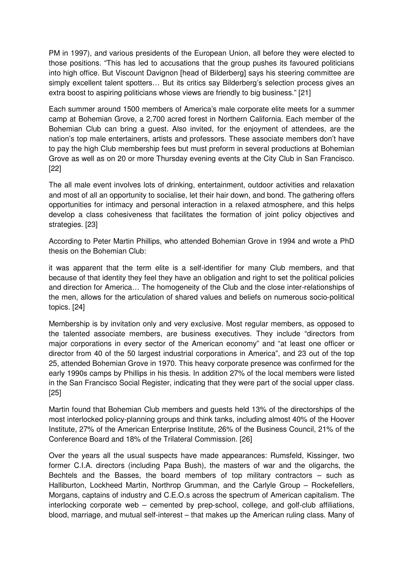PM in 1997), and various presidents of the European Union, all before they were elected to those positions. "This has led to accusations that the group pushes its favoured politicians into high office. But Viscount Davignon [head of Bilderberg] says his steering committee are simply excellent talent spotters… But its critics say Bilderberg's selection process gives an extra boost to aspiring politicians whose views are friendly to big business." [21]

Each summer around 1500 members of America's male corporate elite meets for a summer camp at Bohemian Grove, a 2,700 acred forest in Northern California. Each member of the Bohemian Club can bring a guest. Also invited, for the enjoyment of attendees, are the nation's top male entertainers, artists and professors. These associate members don't have to pay the high Club membership fees but must preform in several productions at Bohemian Grove as well as on 20 or more Thursday evening events at the City Club in San Francisco. [22]

The all male event involves lots of drinking, entertainment, outdoor activities and relaxation and most of all an opportunity to socialise, let their hair down, and bond. The gathering offers opportunities for intimacy and personal interaction in a relaxed atmosphere, and this helps develop a class cohesiveness that facilitates the formation of joint policy objectives and strategies. [23]

According to Peter Martin Phillips, who attended Bohemian Grove in 1994 and wrote a PhD thesis on the Bohemian Club:

it was apparent that the term elite is a self-identifier for many Club members, and that because of that identity they feel they have an obligation and right to set the political policies and direction for America… The homogeneity of the Club and the close inter-relationships of the men, allows for the articulation of shared values and beliefs on numerous socio-political topics. [24]

Membership is by invitation only and very exclusive. Most regular members, as opposed to the talented associate members, are business executives. They include "directors from major corporations in every sector of the American economy" and "at least one officer or director from 40 of the 50 largest industrial corporations in America", and 23 out of the top 25, attended Bohemian Grove in 1970. This heavy corporate presence was confirmed for the early 1990s camps by Phillips in his thesis. In addition 27% of the local members were listed in the San Francisco Social Register, indicating that they were part of the social upper class. [25]

Martin found that Bohemian Club members and guests held 13% of the directorships of the most interlocked policy-planning groups and think tanks, including almost 40% of the Hoover Institute, 27% of the American Enterprise Institute, 26% of the Business Council, 21% of the Conference Board and 18% of the Trilateral Commission. [26]

Over the years all the usual suspects have made appearances: Rumsfeld, Kissinger, two former C.I.A. directors (including Papa Bush), the masters of war and the oligarchs, the Bechtels and the Basses, the board members of top military contractors – such as Halliburton, Lockheed Martin, Northrop Grumman, and the Carlyle Group – Rockefellers, Morgans, captains of industry and C.E.O.s across the spectrum of American capitalism. The interlocking corporate web – cemented by prep-school, college, and golf-club affiliations, blood, marriage, and mutual self-interest – that makes up the American ruling class. Many of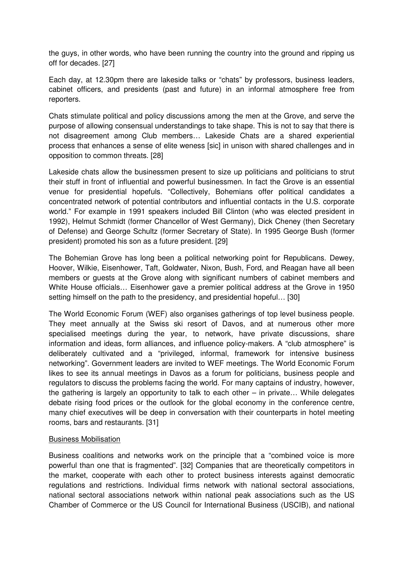the guys, in other words, who have been running the country into the ground and ripping us off for decades. [27]

Each day, at 12.30pm there are lakeside talks or "chats" by professors, business leaders, cabinet officers, and presidents (past and future) in an informal atmosphere free from reporters.

Chats stimulate political and policy discussions among the men at the Grove, and serve the purpose of allowing consensual understandings to take shape. This is not to say that there is not disagreement among Club members… Lakeside Chats are a shared experiential process that enhances a sense of elite weness [sic] in unison with shared challenges and in opposition to common threats. [28]

Lakeside chats allow the businessmen present to size up politicians and politicians to strut their stuff in front of influential and powerful businessmen. In fact the Grove is an essential venue for presidential hopefuls. "Collectively, Bohemians offer political candidates a concentrated network of potential contributors and influential contacts in the U.S. corporate world." For example in 1991 speakers included Bill Clinton (who was elected president in 1992), Helmut Schmidt (former Chancellor of West Germany), Dick Cheney (then Secretary of Defense) and George Schultz (former Secretary of State). In 1995 George Bush (former president) promoted his son as a future president. [29]

The Bohemian Grove has long been a political networking point for Republicans. Dewey, Hoover, Wilkie, Eisenhower, Taft, Goldwater, Nixon, Bush, Ford, and Reagan have all been members or guests at the Grove along with significant numbers of cabinet members and White House officials… Eisenhower gave a premier political address at the Grove in 1950 setting himself on the path to the presidency, and presidential hopeful… [30]

The World Economic Forum (WEF) also organises gatherings of top level business people. They meet annually at the Swiss ski resort of Davos, and at numerous other more specialised meetings during the year, to network, have private discussions, share information and ideas, form alliances, and influence policy-makers. A "club atmosphere" is deliberately cultivated and a "privileged, informal, framework for intensive business networking". Government leaders are invited to WEF meetings. The World Economic Forum likes to see its annual meetings in Davos as a forum for politicians, business people and regulators to discuss the problems facing the world. For many captains of industry, however, the gathering is largely an opportunity to talk to each other – in private… While delegates debate rising food prices or the outlook for the global economy in the conference centre, many chief executives will be deep in conversation with their counterparts in hotel meeting rooms, bars and restaurants. [31]

# Business Mobilisation

Business coalitions and networks work on the principle that a "combined voice is more powerful than one that is fragmented". [32] Companies that are theoretically competitors in the market, cooperate with each other to protect business interests against democratic regulations and restrictions. Individual firms network with national sectoral associations, national sectoral associations network within national peak associations such as the US Chamber of Commerce or the US Council for International Business (USCIB), and national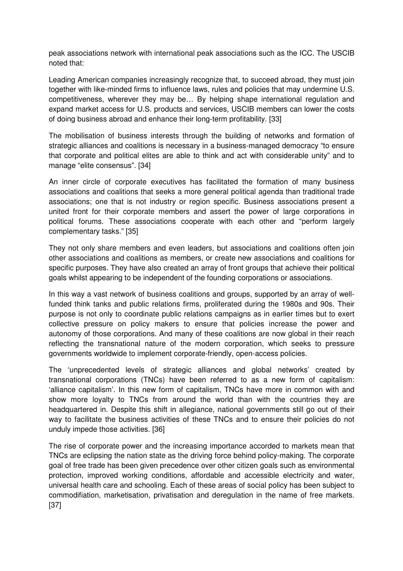peak associations network with international peak associations such as the ICC. The USCIB noted that:

Leading American companies increasingly recognize that, to succeed abroad, they must join together with like-minded firms to influence laws, rules and policies that may undermine U.S. competitiveness, wherever they may be… By helping shape international regulation and expand market access for U.S. products and services, USCIB members can lower the costs of doing business abroad and enhance their long-term profitability. [33]

The mobilisation of business interests through the building of networks and formation of strategic alliances and coalitions is necessary in a business-managed democracy "to ensure that corporate and political elites are able to think and act with considerable unity" and to manage "elite consensus". [34]

An inner circle of corporate executives has facilitated the formation of many business associations and coalitions that seeks a more general political agenda than traditional trade associations; one that is not industry or region specific. Business associations present a united front for their corporate members and assert the power of large corporations in political forums. These associations cooperate with each other and "perform largely complementary tasks." [35]

They not only share members and even leaders, but associations and coalitions often join other associations and coalitions as members, or create new associations and coalitions for specific purposes. They have also created an array of front groups that achieve their political goals whilst appearing to be independent of the founding corporations or associations.

In this way a vast network of business coalitions and groups, supported by an array of wellfunded think tanks and public relations firms, proliferated during the 1980s and 90s. Their purpose is not only to coordinate public relations campaigns as in earlier times but to exert collective pressure on policy makers to ensure that policies increase the power and autonomy of those corporations. And many of these coalitions are now global in their reach reflecting the transnational nature of the modern corporation, which seeks to pressure governments worldwide to implement corporate-friendly, open-access policies.

The 'unprecedented levels of strategic alliances and global networks' created by transnational corporations (TNCs) have been referred to as a new form of capitalism: 'alliance capitalism'. In this new form of capitalism, TNCs have more in common with and show more loyalty to TNCs from around the world than with the countries they are headquartered in. Despite this shift in allegiance, national governments still go out of their way to facilitate the business activities of these TNCs and to ensure their policies do not unduly impede those activities. [36]

The rise of corporate power and the increasing importance accorded to markets mean that TNCs are eclipsing the nation state as the driving force behind policy-making. The corporate goal of free trade has been given precedence over other citizen goals such as environmental protection, improved working conditions, affordable and accessible electricity and water, universal health care and schooling. Each of these areas of social policy has been subject to commodifiation, marketisation, privatisation and deregulation in the name of free markets. [37]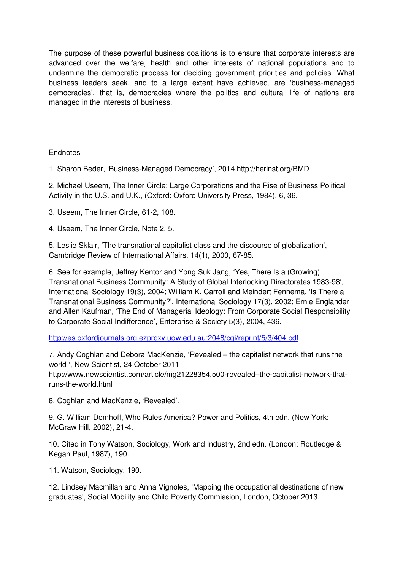The purpose of these powerful business coalitions is to ensure that corporate interests are advanced over the welfare, health and other interests of national populations and to undermine the democratic process for deciding government priorities and policies. What business leaders seek, and to a large extent have achieved, are 'business-managed democracies', that is, democracies where the politics and cultural life of nations are managed in the interests of business.

# **Endnotes**

1. Sharon Beder, 'Business-Managed Democracy', 2014.http://herinst.org/BMD

2. Michael Useem, The Inner Circle: Large Corporations and the Rise of Business Political Activity in the U.S. and U.K., (Oxford: Oxford University Press, 1984), 6, 36.

3. Useem, The Inner Circle, 61-2, 108.

4. Useem, The Inner Circle, Note 2, 5.

5. Leslie Sklair, 'The transnational capitalist class and the discourse of globalization', Cambridge Review of International Affairs, 14(1), 2000, 67-85.

6. See for example, Jeffrey Kentor and Yong Suk Jang, 'Yes, There Is a (Growing) Transnational Business Community: A Study of Global Interlocking Directorates 1983-98′, International Sociology 19(3), 2004; William K. Carroll and Meindert Fennema, 'Is There a Transnational Business Community?', International Sociology 17(3), 2002; Ernie Englander and Allen Kaufman, 'The End of Managerial Ideology: From Corporate Social Responsibility to Corporate Social Indifference', Enterprise & Society 5(3), 2004, 436.

http://es.oxfordjournals.org.ezproxy.uow.edu.au:2048/cgi/reprint/5/3/404.pdf

7. Andy Coghlan and Debora MacKenzie, 'Revealed – the capitalist network that runs the world ', New Scientist, 24 October 2011

http://www.newscientist.com/article/mg21228354.500-revealed–the-capitalist-network-thatruns-the-world.html

8. Coghlan and MacKenzie, 'Revealed'.

9. G. William Domhoff, Who Rules America? Power and Politics, 4th edn. (New York: McGraw Hill, 2002), 21-4.

10. Cited in Tony Watson, Sociology, Work and Industry, 2nd edn. (London: Routledge & Kegan Paul, 1987), 190.

11. Watson, Sociology, 190.

12. Lindsey Macmillan and Anna Vignoles, 'Mapping the occupational destinations of new graduates', Social Mobility and Child Poverty Commission, London, October 2013.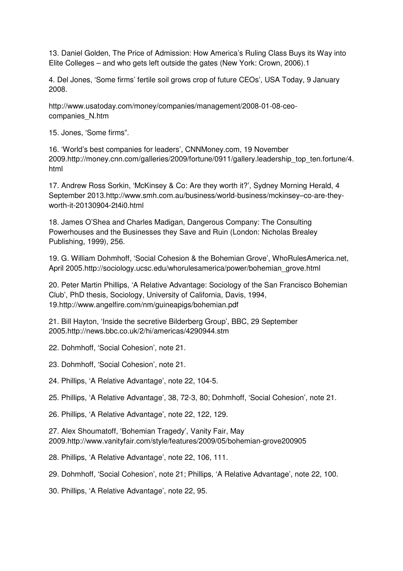13. Daniel Golden, The Price of Admission: How America's Ruling Class Buys its Way into Elite Colleges – and who gets left outside the gates (New York: Crown, 2006).1

4. Del Jones, 'Some firms' fertile soil grows crop of future CEOs', USA Today, 9 January 2008.

http://www.usatoday.com/money/companies/management/2008-01-08-ceocompanies\_N.htm

15. Jones, 'Some firms".

16. 'World's best companies for leaders', CNNMoney.com, 19 November 2009.http://money.cnn.com/galleries/2009/fortune/0911/gallery.leadership\_top\_ten.fortune/4. html

17. Andrew Ross Sorkin, 'McKinsey & Co: Are they worth it?', Sydney Morning Herald, 4 September 2013.http://www.smh.com.au/business/world-business/mckinsey–co-are-theyworth-it-20130904-2t4i0.html

18. James O'Shea and Charles Madigan, Dangerous Company: The Consulting Powerhouses and the Businesses they Save and Ruin (London: Nicholas Brealey Publishing, 1999), 256.

19. G. William Dohmhoff, 'Social Cohesion & the Bohemian Grove', WhoRulesAmerica.net, April 2005.http://sociology.ucsc.edu/whorulesamerica/power/bohemian\_grove.html

20. Peter Martin Phillips, 'A Relative Advantage: Sociology of the San Francisco Bohemian Club', PhD thesis, Sociology, University of California, Davis, 1994, 19.http://www.angelfire.com/nm/guineapigs/bohemian.pdf

21. Bill Hayton, 'Inside the secretive Bilderberg Group', BBC, 29 September 2005.http://news.bbc.co.uk/2/hi/americas/4290944.stm

22. Dohmhoff, 'Social Cohesion', note 21.

- 23. Dohmhoff, 'Social Cohesion', note 21.
- 24. Phillips, 'A Relative Advantage', note 22, 104-5.

25. Phillips, 'A Relative Advantage', 38, 72-3, 80; Dohmhoff, 'Social Cohesion', note 21.

26. Phillips, 'A Relative Advantage', note 22, 122, 129.

27. Alex Shoumatoff, 'Bohemian Tragedy', Vanity Fair, May 2009.http://www.vanityfair.com/style/features/2009/05/bohemian-grove200905

- 28. Phillips, 'A Relative Advantage', note 22, 106, 111.
- 29. Dohmhoff, 'Social Cohesion', note 21; Phillips, 'A Relative Advantage', note 22, 100.
- 30. Phillips, 'A Relative Advantage', note 22, 95.